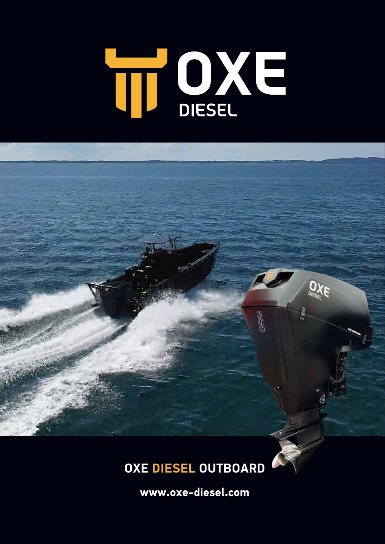# TI OXE



 $O_{XE}$ 

800g

**www.oxe-diesel.com**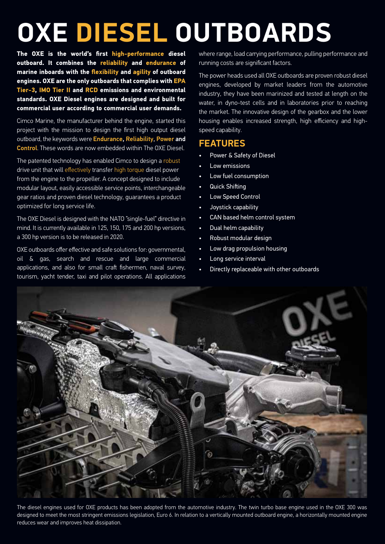## **OXE DIESEL OUTBOARDS**

**The OXE is the world's first high-performance diesel outboard. It combines the reliability and endurance of marine inboards with the flexibility and agility of outboard engines. OXE are the only outboards that complies with EPA Tier-3, IMO Tier II and RCD emissions and environmental standards. OXE Diesel engines are designed and built for commercial user according to commercial user demands.**

Cimco Marine, the manufacturer behind the engine, started this project with the mission to design the first high output diesel outboard, the keywords were **Endurance, Reliability, Power and** Control. These words are now embedded within The OXE Diesel.

The patented technology has enabled Cimco to design a robust drive unit that will effectively transfer high torque diesel power from the engine to the propeller. A concept designed to include modular layout, easily accessible service points, interchangeable gear ratios and proven diesel technology, guarantees a product optimized for long service life.

The OXE Diesel is designed with the NATO "single-fuel" directive in mind. It is currently available in 125, 150, 175 and 200 hp versions, a 300 hp version is to be released in 2020.

OXE outboards offer effective and safe solutions for: governmental, oil & gas, search and rescue and large commercial applications, and also for small craft fishermen, naval survey, tourism, yacht tender, taxi and pilot operations. All applications where range, load carrying performance, pulling performance and running costs are significant factors.

The power heads used all OXE outboards are proven robust diesel engines, developed by market leaders from the automotive industry, they have been marinized and tested at length on the water, in dyno-test cells and in laboratories prior to reaching the market. The innovative design of the gearbox and the lower housing enables increased strength, high efficiency and highspeed capability.

#### **FEATURES**

- Power & Safety of Diesel
- Low emissions
- Low fuel consumption
- **Quick Shifting**
- Low Speed Control
- Joystick capability
- CAN based helm control system
- Dual helm capability
- Robust modular design
- Low drag propulsion housing
- Long service interval
- Directly replaceable with other outboards



The diesel engines used for OXE products has been adopted from the automotive industry. The twin turbo base engine used in the OXE 300 was designed to meet the most stringent emissions legislation, Euro 6. In relation to a vertically mounted outboard engine, a horizontally mounted engine reduces wear and improves heat dissipation.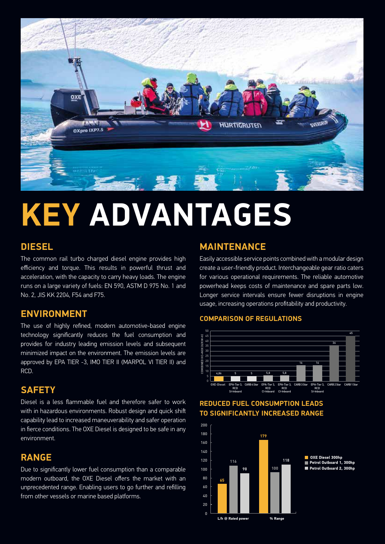

## **KEY ADVANTAGES**

#### **DIESEL**

The common rail turbo charged diesel engine provides high efficiency and torque. This results in powerful thrust and acceleration, with the capacity to carry heavy loads. The engine runs on a large variety of fuels: EN 590, ASTM D 975 No. 1 and No. 2, JIS KK 2204, F54 and F75.

#### **ENVIRONMENT**

The use of highly refined, modern automotive-based engine technology significantly reduces the fuel consumption and provides for industry leading emission levels and subsequent minimized impact on the environment. The emission levels are approved by EPA TIER -3, IMO TIER II (MARPOL VI TIER II) and RCD.

#### **SAFETY**

Diesel is a less flammable fuel and therefore safer to work with in hazardous environments. Robust design and quick shift capability lead to increased maneuverability and safer operation in fierce conditions. The OXE Diesel is designed to be safe in any environment.

#### **RANGE**

Due to significantly lower fuel consumption than a comparable modern outboard, the OXE Diesel offers the market with an unprecedented range. Enabling users to go further and refilling from other vessels or marine based platforms.

#### **MAINTENANCE**

Easily accessible service points combined with a modular design create a user-friendly product. Interchangeable gear ratio caters for various operational requirements. The reliable automotive powerhead keeps costs of maintenance and spare parts low. Longer service intervals ensure fewer disruptions in engine usage, increasing operations profitability and productivity.

#### **COMPARISON OF REGULATIONS**



**REDUCED FUEL CONSUMPTION LEADS TO SIGNIFICANTLY INCREASED RANGE**

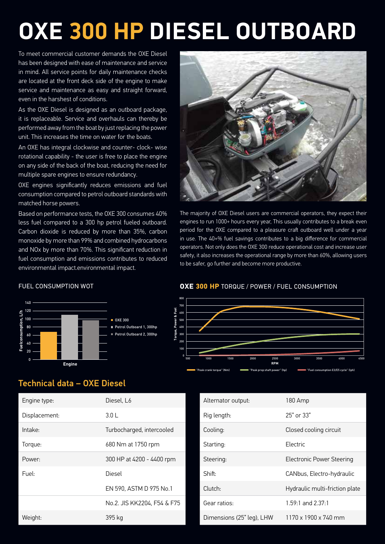## **OXE 300 HP DIESEL OUTBOARD**

even in the harshest of conditions. 70 service and maintenance as easy and straight forward, To meet commercial customer demands the OXE Diesel has been designed with ease of maintenance and service in mind. All service points for daily maintenance checks are located at the front deck side of the engine to make

.<br>unit. This increases the time on water for the boats. As the OXE Diesel is designed as an outboard package, **Fuel, litres** it is replaceable. Service and overhauls can thereby be performed away from the boat by just replacing the power

0 An OXE has integral clockwise and counter- clock- wise rotational capability - the user is free to place the engine on any side of the back of the boat, reducing the need for multiple spare engines to ensure redundancy.

60 matched horse powers.  $\ddot{\phantom{0}}$ 80 consumption compared to petrol outboard standards with OXE engines significantly reduces emissions and fuel

**Engine** 0 fuel consumption and emissions contributes to reduced Based on performance tests, the OXE 300 consumes 40% less fuel compared to a 300 hp petrol fueled outboard. Carbon dioxide is reduced by more than 35%, carbon and NOx by more than 70%. This significant reduction in 20 monoxide by more than 99% and combined hydrocarbons **)**<br>ອະ environmental impact.environmental impact.



The majority of OXE Diesel users are commercial operators, they expect their engines to run 1000+ hours every year, This usually contributes to a break even period for the OXE compared to a pleasure craft outboard well under a year in use. The 40+% fuel savings contributes to a big difference for commercial operators. Not only does the OXE 300 reduce operational cost and increase user safety, it also increases the operational range by more than 60%, allowing users to be safer, go further and become more productive.



#### Technical data – OXE Diesel

| Engine type:  | Diesel. L6                  |
|---------------|-----------------------------|
| Displacement: | 3.01                        |
| Intake:       | Turbocharged, intercooled   |
| Torque:       | 680 Nm at 1750 rpm          |
| Power:        | 300 HP at 4200 - 4400 rpm   |
| Fuel:         | Diesel                      |
|               | EN 590, ASTM D 975 No.1     |
|               | No.2. JIS KK2204. F54 & F75 |
| Weight:       | 395 kg                      |

#### FUEL CONSUMPTION WOT **OXE 300 HP** TORQUE / POWER / FUEL CONSUMPTION



| Alternator output:        | 180 Amp                        |
|---------------------------|--------------------------------|
| Rig length:               | 25" or 33"                     |
| Cooling:                  | Closed cooling circuit         |
| Starting:                 | Flectric                       |
| Steering:                 | Electronic Power Steering      |
| Shift:                    | CANbus, Electro-hydraulic      |
| Clutch:                   | Hydraulic multi-friction plate |
| Gear ratios:              | $1.59:1$ and $2.37:1$          |
| Dimensions (25" leg), LHW | 1170 x 1900 x 740 mm           |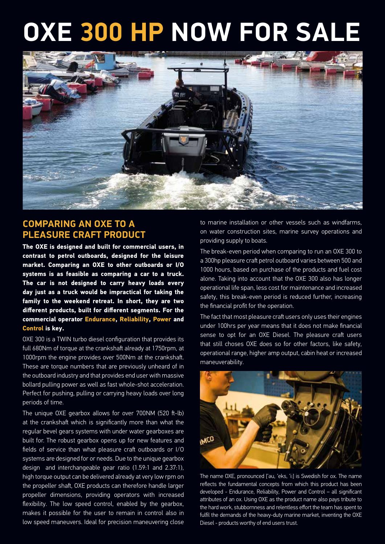## **OXE 300 HP NOW FOR SALE**



### **COMPARING AN OXE TO A PLEASURE CRAFT PRODUCT**

**The OXE is designed and built for commercial users, in contrast to petrol outboards, designed for the leisure market. Comparing an OXE to other outboards or I/O systems is as feasible as comparing a car to a truck. The car is not designed to carry heavy loads every day just as a truck would be impractical for taking the family to the weekend retreat. In short, they are two different products, built for different segments. For the commercial operator Endurance, Reliability, Power and Control is key.**

OXE 300 is a TWIN turbo diesel configuration that provides its full 680Nm of torque at the crankshaft already at 1750rpm, at 1000rpm the engine provides over 500Nm at the crankshaft. These are torque numbers that are previously unheard of in the outboard industry and that provides end user with massive bollard pulling power as well as fast whole-shot acceleration. Perfect for pushing, pulling or carrying heavy loads over long periods of time.

The unique OXE gearbox allows for over 700NM (520 ft-lb) at the crankshaft which is significantly more than what the regular bevel gears systems with under water gearboxes are built for. The robust gearbox opens up for new features and fields of service than what pleasure craft outboards or I/O systems are designed for or needs. Due to the unique gearbox design and interchangeable gear ratio (1.59:1 and 2.37:1), high torque output can be delivered already at very low rpm on the propeller shaft, OXE products can therefore handle larger propeller dimensions, providing operators with increased flexibility. The low speed control, enabled by the gearbox, makes it possible for the user to remain in control also in low speed maneuvers. Ideal for precision maneuvering close

to marine installation or other vessels such as windfarms, on water construction sites, marine survey operations and providing supply to boats.

The break-even period when comparing to run an OXE 300 to a 300hp pleasure craft petrol outboard varies between 500 and 1000 hours, based on purchase of the products and fuel cost alone. Taking into account that the OXE 300 also has longer operational life span, less cost for maintenance and increased safety, this break-even period is reduced further, increasing the financial profit for the operation.

The fact that most pleasure craft users only uses their engines under 100hrs per year means that it does not make financial sense to opt for an OXE Diesel. The pleasure craft users that still choses OXE does so for other factors, like safety, operational range, higher amp output, cabin heat or increased maneuverability.



The name OXE, pronounced ['əu, 'eks, 'i:] is Swedish for ox. The name reflects the fundamental concepts from which this product has been developed - Endurance, Reliability, Power and Control – all significant attributes of an ox. Using OXE as the product name also pays tribute to the hard work, stubbornness and relentless effort the team has spent to fulfil the demands of the heavy-duty marine market, inventing the OXE Diesel - products worthy of end users trust.